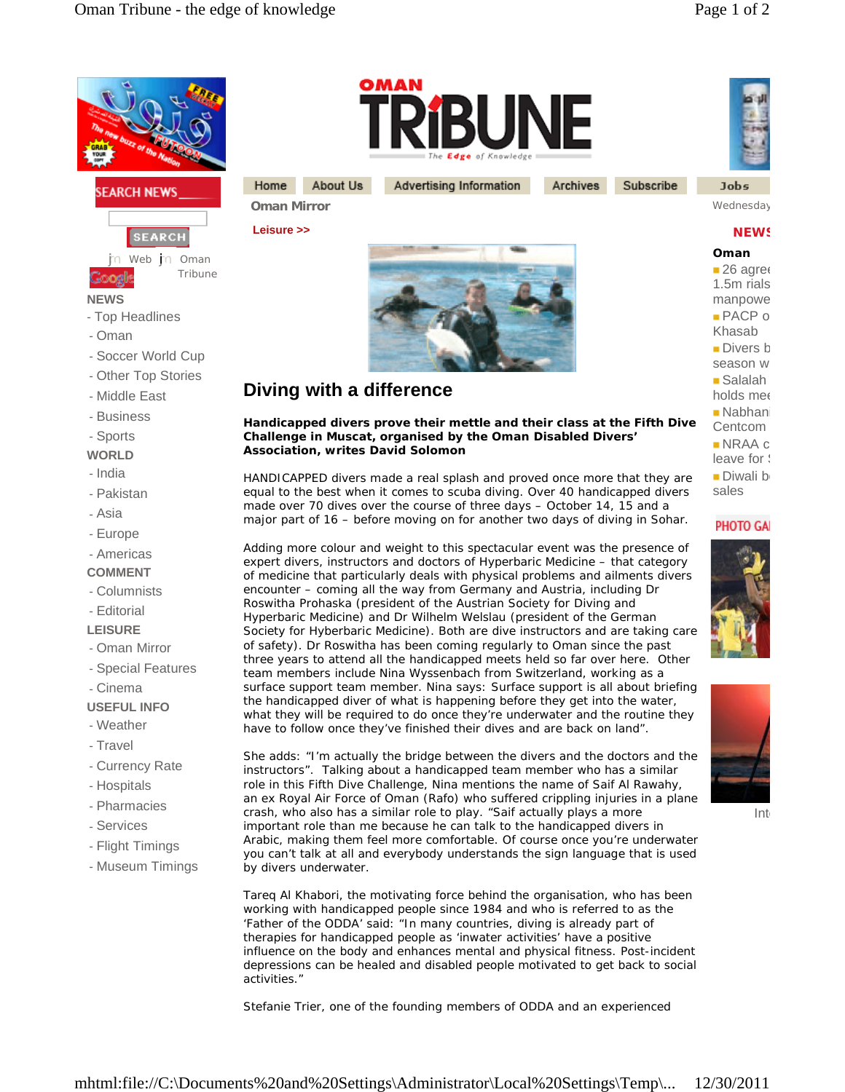



Advertising Information

Subscribe Archives

**Jobs** 

**Oman Mirror** Wednesday, Oman Mirror 26, 2008, 2009, 2009, 2009, 2009, 2009, 2009, 2009, 2009, 2009, 2009, 2009, 200

## **NEWS**

**Oman**  $-26$  agree  $1.5<sub>m</sub>$  rials manpowe  $PACP$  o Khasab  $\blacksquare$  Divers b season w  $\blacksquare$  Salalah holds mee Nabhani Centcom  $NRAA$  c leave for **S**  $\n **Divali**\n$ b sales

## **PHOTO GA**





Int

## **Diving with a difference**

About Us

**Handicapped divers prove their mettle and their class at the Fifth Dive Challenge in Muscat, organised by the Oman Disabled Divers' Association, writes David Solomon**

HANDICAPPED divers made a real splash and proved once more that they are equal to the best when it comes to scuba diving. Over 40 handicapped divers made over 70 dives over the course of three days – October 14, 15 and a major part of 16 – before moving on for another two days of diving in Sohar.

Adding more colour and weight to this spectacular event was the presence of expert divers, instructors and doctors of Hyperbaric Medicine – that category of medicine that particularly deals with physical problems and ailments divers encounter – coming all the way from Germany and Austria, including Dr Roswitha Prohaska (president of the Austrian Society for Diving and Hyperbaric Medicine) and Dr Wilhelm Welslau (president of the German Society for Hyberbaric Medicine). Both are dive instructors and are taking care of safety). Dr Roswitha has been coming regularly to Oman since the past three years to attend all the handicapped meets held so far over here. Other team members include Nina Wyssenbach from Switzerland, working as a surface support team member. Nina says: Surface support is all about briefing the handicapped diver of what is happening before they get into the water, what they will be required to do once they're underwater and the routine they have to follow once they've finished their dives and are back on land".

She adds: "I'm actually the bridge between the divers and the doctors and the instructors". Talking about a handicapped team member who has a similar role in this Fifth Dive Challenge, Nina mentions the name of Saif Al Rawahy, an ex Royal Air Force of Oman (Rafo) who suffered crippling injuries in a plane crash, who also has a similar role to play. "Saif actually plays a more important role than me because he can talk to the handicapped divers in Arabic, making them feel more comfortable. Of course once you're underwater you can't talk at all and everybody understands the sign language that is used by divers underwater.

Tareq Al Khabori, the motivating force behind the organisation, who has been working with handicapped people since 1984 and who is referred to as the 'Father of the ODDA' said: "In many countries, diving is already part of therapies for handicapped people as 'inwater activities' have a positive influence on the body and enhances mental and physical fitness. Post-incident depressions can be healed and disabled people motivated to get back to social activities."

Stefanie Trier, one of the founding members of ODDA and an experienced